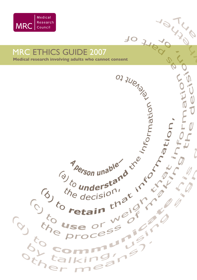

# MRC ETHICS GUIDE 2007



 $\frac{10}{4}$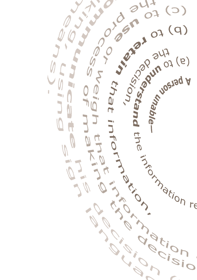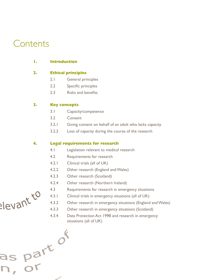# **Contents**

| . . | <b>Introduction</b> |
|-----|---------------------|
|     |                     |

# **2. Ethical principles**

- 2.1 General principles
- 2.2 Specific principles
- 2.3 **Risks and benefits**

# **3. Key concepts**

as part of

- 3.1 Capacity/competence
- 3.2 Consent
- 3.2.1 Giving consent on behalf of an adult who lacks capacity
- 3.2.2 Loss of capacity during the course of the research

# **4. Legal requirements for research**

- 4.1 Legislation relevant to medical research
- 4.2 Requirements for research
- 4.2.1 Clinical trials (all of UK)
- 4.2.2 Other research (England and Wales)
- 4.2.3 Other research (Scotland)
- 4.2.4 Other research (Northern Ireland)
- 
- 4.3.1 Clinical trials in emergency situations (all of UK)
- 4.3.2 Other research in emergency situations (England and Wales)
- 4.3 Requirements for research in emergency situations<br>4.3.1 Clinical trials in emergency situations (all of UK)<br>4.3.3 Other research in emergency situations (England or 4.3.3 Other research in emergency situations (Scotland)
	- 4.3.4 Data Protection Act 1998 and research in emergency situations (all of UK)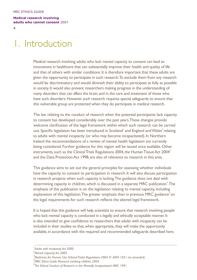$\overline{a}$ 

# 1. Introduction

Medical research involving adults who lack mental capacity to consent can lead to innovations in healthcare that can substantially improve their health and quality of life and that of others with similar conditions. It is therefore important that these adults are given the opportunity to participate in such research.To exclude them from any research would be discriminatory and would diminish their ability to participate as fully as possible in society. It would also prevent researchers making progress in the understanding of many disorders that can affect the brain, and in the care and treatment of those who have such disorders. However, such research requires special safeguards to ensure that this vulnerable group are protected when they do participate in medical research.

The law relating to the conduct of research when the potential participants lack capacity to consent has developed considerably over the past years.These changes provide welcome clarification of the legal framework within which such research can be carried out. Specific legislation has been introduced in Scotland*<sup>1</sup>* and England andWales*<sup>2</sup>*relating to adults with mental incapacity (or who may become incapacitated). In Northern Ireland the recommendations of a review of mental health legislation are currently being considered. Further guidance for this region will be issued once available. Other instruments, such as the Clinical Trials Regulations 2004, the Human Tissue Act 2004<sup>3</sup> and the Data ProtectionAct 1998, are also of relevance to research in this area.

This guidance aims to set out the general principles for assessing whether individuals have the capacity to consent to participation in research. It will also discuss participation in research projects when such capacity is lacking.The guidance does not deal with determining capacity in children, which is discussed in a separate MRC publication<sup>4</sup>. The emphasis of this publication is on the legislation relating to mental capacity, including explanation of this legislation.The greater emphasis than in previous MRC guidance*<sup>5</sup>*on the legal requirements for such research reflects the altered legal framework.

It is hoped that this guidance will help scientists to ensure that research involving people who lack mental capacity is conducted in a legally and ethically acceptable manner. It is also intended to give confidence to researchers that adults with incapacity can be included in their studies so that, when appropriate, they will make the opportunity available, in accordance with the required and recommended safeguards described here.

<sup>&</sup>lt;sup>1</sup> Adults with Incapacity Act 2000.

*Mental Capacity Act 2005.*

*<sup>3</sup> Medicines for Human Use (Clinical Trials) Regulations 2004. SI 2004 1031 (as amended).*

*<sup>4</sup> MRC Ethics Guide: Research involving children, 2004.*

*<sup>5</sup> The Ethical Conduct of Research in the Mentally Incapacitated. MRC 1991.*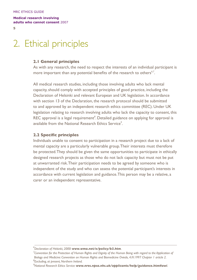5

# 2. Ethical principles

### **2.1 General principles**

As with any research, the need to respect the interests of an individual participant is more important than any potential benefits of the research to others*6,7*.

All medical research studies, including those involving adults who lack mental capacity,should comply with accepted principles of good practice, including the Declaration of Helsinki and relevant European and UK legislation. In accordance with section 13 of the Declaration, the research protocol should be submitted to and approved by an independent research ethics committee (REC). Under UK legislation relating to research involving adults who lack the capacity to consent, this REC approval is a legal requirement<sup>8</sup>. Detailed guidance on applying for approval is available from the National Research Ethics Service*<sup>9</sup>* .

## **2.2 Specific principles**

Individuals unable to consent to participation in a research project due to a lack of mental capacity are a particularly vulnerable group.Their interests must therefore be protected.They should be given the same opportunities to participate in ethically designed research projects as those who do not lack capacity but must not be put at unwarranted risk.Their participation needs to be agreed by someone who is independent of the study and who can assess the potential participant's interests in accordance with current legislation and guidance.This person may be a relative, a carer or an independent representative.

*8 Excluding, at present, Northern Ireland.*

*<sup>6</sup> Declaration of Helsinki, 2000: www.wma.net/e/policy/b3.htm*. *7*

*Convention for the Protection of Human Rights and Dignity of the Human Being with regard to the Application of Biology and Medicine: Convention on Human Rights and Biomedicine Oviedo, 4.IV.1997 Chapter 1 article 2.*

*<sup>9</sup> National Research Ethics Service: www.nres.npsa.nhs.uk/applicants/help/guidance.htm#awi.*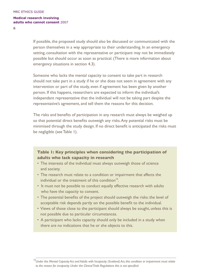6

If possible, the proposed study should also be discussed or communicated with the person themselves in a way appropriate to their understanding. In an emergency setting, consultation with the representative or participant may not be immediately possible but should occur as soon as practical. (There is more information about emergency situations in section 4.3).

Someone who lacks the mental capacity to consent to take part in research should not take part in a study if he or she does not seem in agreement with any intervention or part of the study, even if agreement has been given by another person. If this happens, researchers are expected to inform the individual's independant representative that the individual will not be taking part despite the representative's agreement, and tell them the reasons for this decision.

The risks and benefits of participation in any research must always be weighed up so that potential direct benefits outweigh any risks.Any potential risks must be minimised through the study design. If no direct benefit is anticipated the risks must be negligible (see Table 1).

# **Table 1: Key principles when considering the participation of adults who lack capacity in research**

- The interests of the individual must always outweigh those of science and society.
- The research must relate to a condition or impairment that affects the individual or the treatment of this condition<sup>10</sup>
- It must not be possible to conduct equally effective research with adults who have the capacity to consent.
- The potential benefits of the project should outweigh the risks: the level of acceptable risk depends partly on the possible benefit to the individual.
- Views of those close to the participant should always be sought, unless this is not possible due to particular circumstances.
- A participant who lacks capacity should only be included in a study when there are no indications that he or she objects to this.

<sup>&</sup>lt;sup>10</sup>Under the Mental Capacity Act and Adults with Incapacity (Scotland) Act, this condition or impairment must relate *to the reason for incapacity. Under the Clinical Trials Regulations this is not specified.*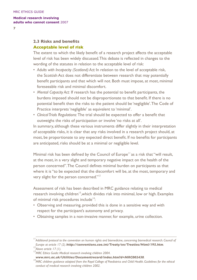$\overline{z}$ 

# **2.3 Risks and benefits Acceptable level of risk**

The extent to which the likely benefit of a research project affects the acceptable level of risk has been widely discussed.This debate is reflected in changes to the wording of the statutes in relation to the acceptable level of risk:

- *Adults with Incapacity (Scotland) Act:* In relation to the level of acceptable risk, the Scottish Act does not differentiate between research that may potentially benefit participants and that which will not. Both must impose, at most, minimal foreseeable risk and minimal discomfort.
- *Mental Capacity Act:* If research has the potential to benefit participants, the burdens imposed should not be disproportionate to that benefit. If there is no potential benefit then the risks to the patient should be 'negligible'.The Code of Practice interprets'negligible' as equivalent to 'minimal'.
- *Clinical Trials Regulations:* The trial should be expected to offer a benefit that outweighs the risks of participation or involve 'no risks at all'.

In summary, although these various instruments differ slightly in their interpretation of acceptable risks, it is clear that any risks involved in a research project should, at most, be proportionate to any expected direct benefit. If no benefits for participants are anticipated, risks should be at a minimal or negligible level.

Minimal risk has been defined by the Council of Europe*<sup>11</sup>*as a risk that "will result, at the most, in a very slight and temporary negative impact on the health of the person concerned".The Council defines minimal burden on participants as that where it is "to be expected that the discomfort will be, at the most, temporary and very slight for the person concerned."*<sup>12</sup>*

Assessment of risk has been described in MRC guidance relating to medical research involving children*<sup>13</sup>*,which divides risk into minimal, low or high. Examples of minimal risk procedures include*<sup>14</sup>*:

- Observing and measuring, provided this is done in a sensitive way and with respect for the participant's autonomy and privacy.
- Obtaining samples in a non-invasive manner, for example, urine collection.

*<sup>11</sup>Additional protocol to the convention on human rights and biomedicine, concerning biomedical research. Council of Europe at article 17 (2). http://conventions.coe.int/Treaty/en/Treaties/Html/195.htm.*  $^{12}$ Above article 17 (1).  $^{12}$ MRC Ethics Guide: Medical research involving children 2004.

*www.mrc.ac.uk/Utilities/Documentrecord/index.htm?d=MRC002430. 14MRC children guidance adapted from the Royal College of Paediatrics and Child Health. Guidelines for the ethical conduct of medical research involving children 2002.*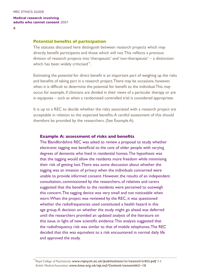#### **Potential benefits of participation**

The statutes discussed here distinguish between research projects which may directly benefit participants and those which will not.This reflects a previous division of research projects into 'therapeutic' and 'non-therapeutic' – a distinction which has been widely criticised*<sup>15</sup>*.

Estimating the potential for direct benefit is an important part of weighing up the risks and benefits of taking part in a research project.There may be occasions, however, when it is difficult to determine the potential for benefit to the individual.This may occur, for example, if clinicians are divided in their views of a particular therapy or are in equipoise – such as when a randomised controlled trial is considered appropriate.

It is up to a REC to decide whether the risks associated with a research project are acceptable in relation to the expected benefits.A careful assessment of this should therefore be provided by the researchers. (See Example A).

#### **Example A: assessment of risks and benefits**

The Blandfordshire REC was asked to review a proposal to study whether electronic tagging was beneficial to the care of older people with varying degrees of dementia who lived in residential homes.The hypothesis was that the tagging would allow the residents more freedom while minimising their risk of getting lost.There was some discussion about whether the tagging was an invasion of privacy when the individuals concerned were unable to provide informed consent. However, the results of an independent consultation, commissioned by the researchers, of relatives and carers suggested that the benefits to the residents were perceived to outweigh this concern.The tagging device was very small and not noticeable when worn.When the project was reviewed by the REC, it was questioned whether the radiofrequencies used constituted a health hazard in this age group.A decision on whether the study might go ahead was deferred until the researchers provided an updated analysis of the literature on this issue, in light of new scientific evidence.This analysis suggested that the radiofrequency risk was similar to that of mobile telephones.The REC decided that this was equivalent to a risk encountered in normal daily life and approved the study.

*<sup>15</sup>Royal College of Psychiatrists: www.rcpsych.ac.uk/publications/cr/council/cr82i.pdf 3.4. British Medical Association: www.bma.org.uk/ap.nsf/Content/consenttk2~10.*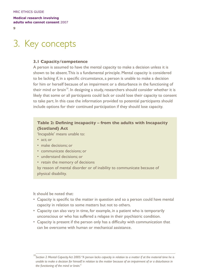9

# 3. Key concepts

## **3.1 Capacity/competence**

A person is assumed to have the mental capacity to make a decision unless it is shown to be absent.This is a fundamental principle. Mental capacity is considered to be lacking if, in a specific circumstance, a person is unable to make a decision for him or herself because of an impairment or a disturbance in the functioning of their mind or brain<sup>16</sup>. In designing a study, researchers should consider whether it is likely that some or all participants could lack or could lose their capacity to consent to take part. In this case the information provided to potential participants should include options for their continued participation if they should lose capacity.

# **Table 2: Defining incapacity – from the adults with Incapacity (Scotland) Act**

'Incapable' means unable to:

- act; or
- make decisions; or
- communicate decisions; or
- understand decisions; or
- retain the memory of decisions

by reason of mental disorder or of inability to communicate because of physical disability.

It should be noted that:

- Capacity is specific to the matter in question and so a person could have mental capacity in relation to some matters but not to others.
- Capacity can also vary in time, for example, in a patient who is temporarily unconscious or who has suffered a relapse in their psychiatric condition.
- Capacity is present if the person only has a difficulty with communication that can be overcome with human or mechanical assistance.

*<sup>16</sup> Section 2 Mental Capacity Act 2005: "A person lacks capacity in relation to a matter if at the material time he is unable to make a decision for himself in relation to the matter because of an impairment of or a disturbance in the functioning of the mind or brain."*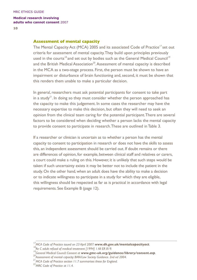### **Assessment of mental capacity**

The Mental Capacity Act (MCA) 2005 and its associated Code of Practice*<sup>17</sup>*set out criteria for assessment of mental capacity.They build upon principles previously used in the courts*<sup>18</sup>*and set out by bodies such as the General Medical Council*<sup>19</sup>* and the British Medical Association<sup>20</sup>. Assessment of mental capacity is described in the MCA as a two-stage process. First, the person must be shown to have an impairment or disturbance of brain functioning and, second, it must be shown that this renders them unable to make a particular decision.

In general, researchers must ask potential participants for consent to take part in a study<sup>21</sup>. In doing so they must consider whether the person approached has the capacity to make this judgement. In some cases the researcher may have the necessary expertise to make this decision, but often they will need to seek an opinion from the clinical team caring for the potential participant.There are several factors to be considered when deciding whether a person lacks the mental capacity to provide consent to participate in research.These are outlined in Table 3.

If a researcher or clinician is uncertain as to whether a person has the mental capacity to consent to participation in research or does not have the skills to assess this, an independent assessment should be carried out. If doubt remains or there are differences of opinion, for example, between clinical staff and relatives or carers, a court could make a ruling on this. However, it is unlikely that such steps would be taken: if such uncertainty exists it may be better not to include the patient in the study. On the other hand, when an adult does have the ability to make a decision or to indicate willingness to participate in a study for which they are eligible, this willingness should be respected as far as is practical in accordance with legal requirements. See Example B (page 12).

<sup>&</sup>lt;sup>17</sup>MCA Code of Practice issued on 23 April 2007: **www.dh.gov.uk/mentalcapacityact**.<br><sup>18</sup>Re C adult: refusal of medical treatment [1994] 1 All ER 819.<br><sup>19</sup>General Medical Council: Consent at **www.gmc-uk.org/guidance/libra**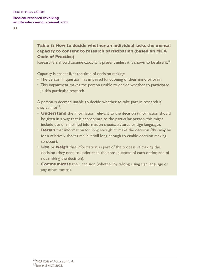**11**

# **Table 3: How to decide whether an individual lacks the mental capacity to consent to research participation (based on MCA Code of Practice)**

Researchers should assume capacity is present unless it is shown to be absent.*<sup>22</sup>*

Capacity is absent if, at the time of decision making:

- The person in question has impaired functioning of their mind or brain.
- This impairment makes the person unable to decide whether to participate in this particular research.

A person is deemed unable to decide whether to take part in research if they cannot*<sup>23</sup>*:

- **Understand** the information relevant to the decision (information should be given in a way that is appropriate to the particular person, this might include use of simplified information sheets, pictures or sign language).
- **Retain** that information for long enough to make the decision (this may be for a relatively short time, but still long enough to enable decision making to occur).
- **Use** or **weigh** that information as part of the process of making the decision (they need to understand the consequences of each option and of not making the decision).
- **Communicate** their decision (whether by talking, using sign language or any other means).

*<sup>22</sup>MCA Code of Practice at 11.4. 23Section 3 MCA 2005.*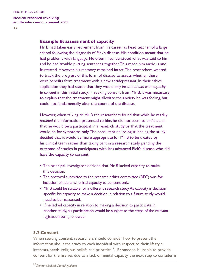### **Example B: assessment of capacity**

Mr B had taken early retirement from his career as head teacher of a large school following the diagnosis of Pick's disease. His condition meant that he had problems with language. He often misunderstood what was said to him and he had trouble putting sentences together.This made him anxious and frustrated. However, his memory remained intact.The researchers wanted to track the progress of this form of disease to assess whether there were benefits from treatment with a new antidepressant. In their ethics application they had stated that they would *only include adults with capacity to consent* in this initial study. In seeking consent from Mr B, it was necessary to explain that the treatment might alleviate the anxiety he was feeling, but could not fundamentally alter the course of the disease.

However, when talking to Mr B the researchers found that while he readily *retained* the information presented to him, he did not seem to *understand* that he would be a participant in a research study or that the treatment would be for symptoms only.The consultant neurologist leading the study decided that it would be more appropriate for Mr B to be treated by his clinical team rather than taking part in a research study, pending the outcome of studies in participants with less advanced Pick's disease who did have the capacity to consent.

- The principal investigator decided that Mr B lacked capacity to make this decision.
- The protocol submitted to the research ethics committee (REC) was for inclusion of adults who had capacity to consent only.
- Mr B could be suitable for a different research study.As capacity is decision specific, his capacity to make a decision in relation to a future study would need to be reassessed.
- If he lacked capacity in relation to making a decision to participate in another study, his participation would be subject to the steps of the relevant legislation being followed.

## **3.2 Consent**

When seeking consent, researchers should consider how to present the information about the study to each individual with respect to their lifestyle, interests, needs, religious beliefs and priorities<sup>24</sup>. If someone is unable to provide consent for themselves due to a lack of mental capacity, the next step to consider is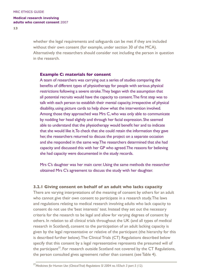**13**

whether the legal requirements and safeguards can be met if they are included without their own consent (for example, under section 30 of the MCA). Alternatively the researchers should consider not including the person in question in the research.

#### **Example C: materials for consent**

A team of researchers was carrying out a series of studies comparing the benefits of different types of physiotherapy for people with serious physical restrictions following a severe stroke.They began with the assumption that all potential recruits would have the capacity to consent.The first step was to talk with each person to establish their mental capacity, irrespective of physical disability, using picture cards to help show what the intervention involved. Among those they approached was Mrs C, who was only able to communicate by nodding her head slightly and through her facial expression. She seemed able to understand that the physiotherapy would benefit her and to indicate that she would like it.To check that she could retain the information they gave her, the researchers returned to discuss the project on a separate occasion and she responded in the same way.The researchers determined that she had capacity and discussed this with her GP who agreed.The reasons for believing she had capacity were documented in the study records.

Mrs C's daughter was her main carer. Using the same methods the researcher obtained Mrs C's agreement to discuss the study with her daughter.

#### **3.2.1 Giving consent on behalf of an adult who lacks capacity**

There are varying interpretations of the meaning of consent by others for an adult who cannot give their own consent to participate in a research study.The laws and regulations relating to medical research involving adults who lack capacity to consent do not use the 'best interests' test. Instead they set out the necessary criteria for the research to be legal and allow for varying degrees of consent by others. In relation to all clinical trials throughout the UK (and all types of medical research in Scotland), consent to the participation of an adult lacking capacity is given by the legal representative or relative of the participant (the hierarchy for this is described further below).The Clinical Trials (CT) Regulations described below specify that this consent by a legal representative represents the presumed will of the participant*<sup>25</sup>*. For research outside Scotland not covered by the CT Regulations, the person consulted gives agreement rather than consent (see Table 4).

*<sup>25</sup>Medicines for Human Use (Clinical Trial) Regulations SI 2004 no.103sch 3 part 5 (12).*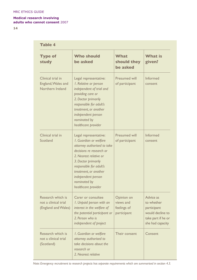**14**

| Table 4                                                          |                                                                                                                                                                                                                                                                              |                                                       |                                                                                                      |  |
|------------------------------------------------------------------|------------------------------------------------------------------------------------------------------------------------------------------------------------------------------------------------------------------------------------------------------------------------------|-------------------------------------------------------|------------------------------------------------------------------------------------------------------|--|
| <b>Type of</b><br>study                                          | <b>Who should</b><br>be asked                                                                                                                                                                                                                                                | What<br>should they<br>be asked                       | <b>What is</b><br>given?                                                                             |  |
| Clinical trial in<br>England, Wales and<br>Northern Ireland      | Legal representative:<br>I. Relative or person<br>independent of trial and<br>providing care or<br>2. Doctor primarily<br>responsible for adult's<br>treatment, or another<br>independent person<br>nominated by<br>healthcare provider                                      | Presumed will<br>of participant                       | Informed<br>consent                                                                                  |  |
| Clinical trial in<br>Scotland                                    | Legal representative:<br>I. Guardian or welfare<br>attorney authorised to take<br>decisions re research or<br>2. Negrest relative or<br>3. Doctor primarily<br>responsible for adult's<br>treatment, or another<br>independent person<br>nominated by<br>healthcare provider | <b>Presumed will</b><br>of participant                | Informed<br>consent                                                                                  |  |
| Research which is<br>not a clinical trial<br>(England and Wales) | Carer or consultee<br>I. Unpaid person with an<br>interest in the welfare of<br>the potential participant or<br>2. Person who is<br>independent of project                                                                                                                   | Opinion on<br>views and<br>feelings of<br>participant | Advice as<br>to whether<br>participant<br>would decline to<br>take part if he or<br>she had capacity |  |
| Research which is<br>not a clinical trial<br>(Scotland)          | I. Guardian or welfare<br>attorney authorised to<br>take decisions about the<br>research or<br>2. Nearest relative                                                                                                                                                           | Their consent                                         | Consent                                                                                              |  |

*Note: Emergency recruitment to research projects has separate requirements which are summarised in section 4.3.*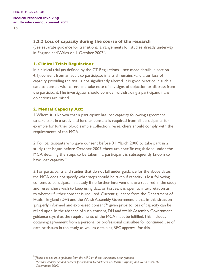## **3.2.2 Loss of capacity during the course of the research**

(See separate guidance for transitional arrangements for studies already underway in England andWales on 1 October 2007.)

## **1. Clinical Trials Regulations:**

In a clinical trial (as defined by the CT Regulations – see more details in section 4.1), consent from an adult to participate in a trial remains valid after loss of capacity, providing the trial is not significantly altered. It is good practice in such a case to consult with carers and take note of any signs of objection or distress from the participant.The investigator should consider withdrawing a participant if any objections are raised.

## **2. Mental Capacity Act:**

1.Where it is known that a participant has lost capacity following agreement to take part in a study and further consent is required from all participants, for example for further blood sample collection, researchers should comply with the requirements of the MCA.

2. For participants who gave consent before 31 March 2008 to take part in a study that began before October 2007, there are specific regulations under the MCA detailing the steps to be taken if a participant is subsequently known to have lost capacity*<sup>26</sup>*.

3. For participants and studies that do not fall under guidance for the above dates, the MCA does not specify what steps should be taken if capacity is lost following consent to participate in a study. If no further interventions are required in the study and researchers wish to keep using data or tissues, it is open to interpretation as to whether further consent is required. Current guidance from the Department of Health, England (DH) and theWelsh Assembly Government is that in this situation 'properly informed and expressed consent'*<sup>27</sup>* given prior to loss of capacity can be relied upon. In the absence of such consent, DH and Welsh Assembly Government guidance says that the requirements of the MCA must be fulfilled.This includes obtaining agreement from a personal or professional consultee for continued use of data or tissues in the study, as well as obtaining REC approval for this.

*<sup>26</sup>Please see separate guidance from the MRC on these transitional arrangements. 27Mental Capacity Act and consent for research, Department of Health (England) and Welsh Assembly Government 2007.*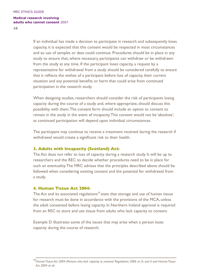**16**

If an individual has made a decision to participate in research and subsequently loses capacity, it is expected that this consent would be respected in most circumstances and so use of samples or data could continue. Procedures should be in place in any study to ensure that, where necessary, participants can withdraw or be withdrawn from the study at any time. If the participant loses capacity, a request by a representative for withdrawal from a study should be considered carefully to ensure that it reflects the wishes of a participant before loss of capacity, their current situation and any potential benefits or harm that could arise from continued participation in the research study.

When designing studies, researchers should consider the risk of participants losing capacity during the course of a study and, where appropriate, should discuss this possibility with them.The consent form should include an option to consent to remain in the study in the event of incapacity.This consent would not be 'absolute', as continued participation will depend upon individual circumstances.

The participant may continue to receive a treatment received during the research if withdrawal would create a significant risk to their health.

## **3. Adults with Incapacity (Scotland) Act:**

The Act does not refer to loss of capacity during a research study. It will be up to researchers and the REC to decide whether procedures need to be in place for such an eventuality.The MRC advises that the principles described above should be followed when considering existing consent and the potential for withdrawal from a study.

## **4. Human Tissue Act 2004:**

The Act and its associated regulations*<sup>28</sup>*state that storage and use of human tissue for research must be done in accordance with the provisions of the MCA, unless the adult consented before losing capacity. In Northern Ireland approval is required from an REC to store and use tissue from adults who lack capacity to consent.

Example D illustrates some of the issues that may arise when a person loses capacity during the course of research.

*<sup>28</sup>Human Tissue Act 2004 (Persons who lack capacity to consent) Regulations 2006 at 3c and d and Human Tissue Act 2004 at s6.*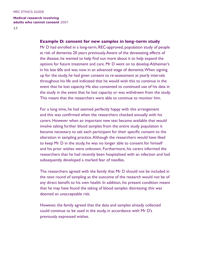#### **Example D: consent for new samples in long-term study**

Mr D had enrolled in a long-term, REC-approved, population study of people at risk of dementia 20 years previously.Aware of the devastating effects of the disease, he wanted to help find out more about it to help expand the options for future treatment and care. Mr D went on to develop Alzheimer's in his late 60s and was now in an advanced stage of dementia.When signing up for the study, he had given consent to re-assessment at yearly intervals throughout his life and indicated that he would wish this to continue in the event that he lost capacity. He also consented to continued use of his data in the study in the event that he lost capacity or was withdrawn from the study. This meant that the researchers were able to continue to monitor him.

For a long time, he had seemed perfectly happy with this arrangement and this was confirmed when the researchers checked annually with his carers. However when an important new test became available that would involve taking further blood samples from the entire study population it became necessary to ask each participant for their specific consent to the alteration in sampling practice.Although the researchers would have liked to keep Mr D in the study, he was no longer able to consent for himself and his prior wishes were unknown. Furthermore, his carers informed the researchers that he had recently been hospitalised with an infection and had subsequently developed a marked fear of needles.

The researchers agreed with the family that Mr D should not be included in the next round of sampling as the outcome of the research would not be of any direct benefit to his own health. In addition, his present condition meant that he may have found the taking of blood samples distressing: this was deemed an unacceptable risk.

However, the family agreed that the data and samples already collected could continue to be used in the study, in accordance with Mr D's previously expressed wishes.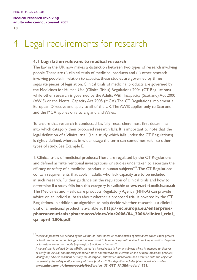# 4. Legal requirements for research

#### **4.1 Legislation relevant to medical research**

The law in the UK now makes a distinction between two types of research involving people.These are (i) clinical trials of medicinal products and (ii) other research involving people. In relation to capacity, these studies are governed by three separate pieces of legislation. Clinical trials of medicinal products are governed by the Medicines for Human Use (Clinical Trials) Regulations 2004 (CT Regulations) while other research is governed by the Adults With Incapacity (Scotland) Act 2000 (AWIS) or the Mental Capacity Act 2005 (MCA).The CT Regulations implement a European Directive and apply to all of the UK.The AWIS applies only to Scotland and the MCA applies only to England and Wales.

To ensure that research is conducted lawfully researchers must first determine into which category their proposed research falls. It is important to note that the legal definition of a 'clinical trial' (i.e. a study which falls under the CT Regulations) is tightly defined, whereas in wider usage the term can sometimes refer to other types of study. See Example E.

1. Clinical trials of medicinal products:These are regulated by the CT Regulations and defined as "interventional investigations or studies undertaken to ascertain the efficacy or safety of a medicinal product in human subjects"*<sup>29</sup>*.The CT Regulations contain requirements that apply if adults who lack capacity are to be included in such research. Further guidance on the regulation of clinical trials and how to determine if a study falls into this category is available at **www.ct-toolkit.ac.uk**. The Medicines and Healthcare products Regulatory Agency (MHRA) can provide advice on an individual basis about whether a proposed trial is covered by the CT Regulations. In addition, an algorithm to help decide whether research is a clinical trial of a medicinal product is available at **http://ec.europa.eu/enterprise/ pharmaceuticals/pharmacos/docs/doc2006/04\_2006/clinical\_trial\_ qa\_april\_2006.pdf**.

*<sup>29</sup>Medicinal products are defined by the MHRA as "substances or combinations of substances which either prevent or treat disease in human beings or are administered to human beings with a view to making a medical diagnosis or to restore, correct or modify physiological functions in humans."* 

*A clinical trial is defined by the MHRA the as "an investigation in human subjects which is intended to discover or verify the clinical, pharmacological and/or other pharmacodynamic effects of one or more medicinal products, identify any adverse reactions or study the absorption, distribution, metabolism and excretion, with the object of ascertaining the safety and/or efficacy of those products." This definition includes pharmacokinetic studies. www.mhra.gov.uk/home/idcplg?IdcService=SS\_GET\_PAGE&nodeId=723.*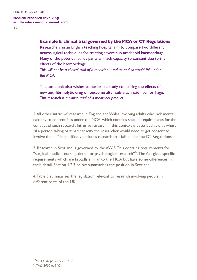**19**

### **Example E: clinical trial governed by the MCA or CT Regulations**

Researchers in an English teaching hospital aim to compare two different neurosurgical techniques for treating severe sub-arachnoid haemorrhage. Many of the potential participants will lack capacity to consent due to the effects of the haemorrhage.

*This will not be a clinical trial of a medicinal product and so would fall under the MCA.*

The same unit also wishes to perform a study comparing the effects of a new anti-fibrinolytic drug on outcome after sub-arachnoid haemorrhage. *This research is a clinical trial of a medicinal product.*

2.All other'intrusive' research in England andWales involving adults who lack mental capacity to consent falls under the MCA, which contains specific requirements for the conduct of such research. Intrusive research in this context is described as that where: "if a person taking part had capacity, the researcher would need to get consent to involve them"*<sup>30</sup>*. It specifically excludes research that falls under the CT Regulations.

3. Research in Scotland is governed by the AWIS.This contains requirements for "surgical, medical, nursing, dental or psychological research"*<sup>31</sup>*.The Act gives specific requirements which are broadly similar to the MCA but have some differences in their detail. Section 4.2.3 below summarises the position in Scotland.

4.Table 5 summarises the legislation relevant to research involving people in different parts of the UK.

*<sup>30</sup>MCA Code pf Practice at 11.6. 31AWIS 2000 at 51(3).*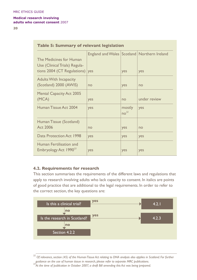**20**

| <b>Table 5: Summary of relevant legislation</b>                                                |                                                 |                            |              |  |
|------------------------------------------------------------------------------------------------|-------------------------------------------------|----------------------------|--------------|--|
| The Medicines for Human<br>Use (Clinical Trials) Regula-<br>tions 2004 (CT Regulations) $ yes$ | England and Wales   Scotland   Northern Ireland | yes                        | yes          |  |
| <b>Adults With Incapacity</b><br>(Scotland) 2000 (AWIS)                                        | no                                              | yes                        | no           |  |
| <b>Mental Capacity Act 2005</b><br>(MCA)                                                       | yes                                             | no                         | under review |  |
| Human Tissue Act 2004                                                                          | yes                                             | mostly<br>no <sup>32</sup> | yes          |  |
| Human Tissue (Scotland)<br>Act 2006                                                            | no                                              | yes                        | no           |  |
| Data Protection Act 1998                                                                       | yes                                             | yes                        | yes          |  |
| Human Fertilisation and<br>Embryology Act 1990 <sup>33</sup>                                   | yes                                             | yes                        | yes          |  |

## **4.2. Requirements for research**

This section summarises the requirements of the different laws and regulations that apply to research involving adults who lack capacity to consent. In italics are points of good practice that are additional to the legal requirements. In order to refer to the correct section, the key questions are:



*<sup>32</sup> Of relevance, section (45) of the Human Tissue Act relating to DNA analysis also applies in Scotland. For further guidance on the use of human tissue in research, please refer to separate MRC publications. 33At the time of publication in October 2007, a draft Bill amending this Act was being prepared.*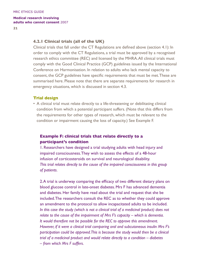### **4.2.1 Clinical trials (all of the UK)**

Clinical trials that fall under the CT Regulations are defined above (section 4.1): In order to comply with the CT Regulations, a trial must be approved by a recognised research ethics committee (REC) and licensed by the MHRA.All clinical trials must comply with the Good Clinical Practice (GCP) guidelines issued by the International Conference on Harmonisation. In relation to adults who lack mental capacity to consent, the GCP guidelines have specific requirements that must be met.These are summarised here. Please note that there are separate requirements for research in emergency situations, which is discussed in section 4.3.

#### **Trial design**

• A clinical trial must relate directly to a life-threatening or debilitating clinical condition from which a potential participant suffers. (Note that this differs from the requirements for other types of research, which must be relevant to the condition or impairment causing the loss of capacity.) See Example F.

## **Example F: clinical trials that relate directly to a participant's condition**

1. Researchers have designed a trial studying adults with head injury and impaired consciousness.They wish to assess the effects of a 48-hour infusion of corticosteroids on survival and neurological disability. *This trial relates directly to the cause of the impaired consciousness in this group of patients.*

2.A trial is underway comparing the efficacy of two different dietary plans on blood glucose control in late-onset diabetes. Mrs F has advanced dementia and diabetes. Her family have read about the trial and request that she be included.The researchers consult the REC as to whether they could approve an amendment to the protocol to allow incapacitated adults to be included. In this case the study (which is not a clinical trial of a medicinal broduct) does not *relate to the cause of the impairment of Mrs F's capacity – which is dementia. It would therefore not be possible for the REC to approve this amendment. However, if it were a clinical trial comparing oral and subcutaneous insulin Mrs F's participation could be approved. This is because the study would then be a clinical trial of a medicinal product and would relate directly to a condition – diabetes – from which Mrs F suffers.*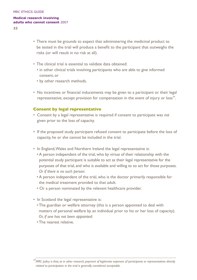**22**

- There must be grounds to expect that administering the medicinal product to be tested in the trial will produce a benefit to the participant that outweighs the risks (or will result in no risk at all).
- The clinical trial is essential to validate data obtained:
	- in other clinical trials involving participants who are able to give informed consent, or
	- by other research methods.
- No incentives or financial inducements may be given to a participant or their legal representative, except provision for compensation in the event of injury or loss*<sup>34</sup>*.

## **Consent by legal representative**

- Consent by a legal representative is required if consent to participate was *not*  given prior to the loss of capacity.
- If the proposed study participant refused consent to participate before the loss of capacity, he or she cannot be included in the trial.
- In England,Wales and Northern Ireland the legal representative is:
	- A person independent of the trial, who by virtue of their relationship with the potential study participant is suitable to act as their legal representative for the purposes of that trial, and who is available and willing to so act for those purposes. *Or if there is no such person:*
	- A person independent of the trial, who is the doctor primarily responsible for the medical treatment provided to that adult.
	- Or a person nominated by the relevant healthcare provider.
- In Scotland the legal representative is:
	- The guardian or welfare attorney (this is a person appointed to deal with matters of personal welfare by an individual prior to his or her loss of capacity). *Or, if one has not been appointed:*
	- The nearest relative.

*<sup>34</sup>MRC policy is that, as in other research, payment of legitimate expenses of participants or representatives directly related to participation in the trial is generally considered acceptable.*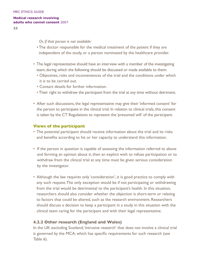**23**

 *Or, if that person is not available:*

- The doctor responsible for the medical treatment of the patient if they are independent of the study, or a person nominated by the healthcare provider.
- The legal representative should have an interview with a member of the investigating team, during which the following should be discussed or made available to them:
	- Objectives, risks and inconveniences of the trial and the conditions under which it is to be carried out.
	- Contact details for further information.
	- Their right to withdraw the participant from the trial at any time without detriment.
- After such discussions, the legal representative may give their 'informed consent' for the person to participate in the clinical trial. In relation to clinical trials, this consent is taken by the CT Regulations to represent the 'presumed will' of the participant.

## **Views of the participant**

- The potential participant should receive information about the trial and its risks and benefits according to his or her capacity to understand this information.
- If the person in question is capable of assessing the information referred to above and forming an opinion about it, then an explicit wish to refuse participation or to withdraw from the clinical trial at any time must be given serious consideration by the investigator.
- Although the law requires only 'consideration', it is good practice to comply with any such request.The only exception would be if not participating or withdrawing from the trial would be detrimental to the participant's health. In this situation, researchers should also consider whether the objection is short-term or relating to factors that could be altered, such as the research environment. Researchers should discuss a decision to keep a participant in a study in this situation with the clinical team caring for the participant and with their legal representative.

## **4.2.2 Other research (England and Wales)**

In the UK excluding Scotland,'intrusive research' that does not involve a clinical trial is governed by the MCA, which has specific requirements for such research (see Table 6).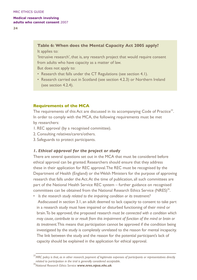**24**

## **Table 6: When does the Mental Capacity Act 2005 apply?** It applies to:

'Intrusive research', that is, any research project that would require consent from adults who have capacity as a matter of law. But does not apply to:

- Research that falls under the CT Regulations (see section 4.1).
- Research carried out in Scotland (see section 4.2.3) or Northern Ireland (see section 4.2.4).

## **Requirements of the MCA**

The requirements of this Act are discussed in its accompanying Code of Practice*<sup>35</sup>*. In order to comply with the MCA, the following requirements must be met by researchers:

- 1. REC approval (by a recognised committee).
- 2. Consulting relatives/carers/others.
- 3. Safeguards to protect participants.

## *1. Ethical approval for the project or study*

There are several questions set out in the MCA that must be considered before ethical approval can be granted. Researchers should ensure that they address these in their application for REC approval.The REC must be recognised by the Department of Health (England) or theWelsh Ministers for the purpose of approving research that falls under the Act.At the time of publication, all such committees are part of the National Health Service REC system – further guidance on recognised committees can be obtained from the National Research Ethics Service (NRES)*<sup>36</sup>*.

• *Is the research study related to the impairing condition or its treatment?* Asdiscussed in section 3.1, an adult deemed to lack capacity to consent to take part in a research study must have impaired or disturbed functioning of their mind or brain. To be approved, the proposed research *must be connected with a condition which may cause, contribute to or result from this impairment of function of the mind or brain or its treatment*.This means that participation cannot be approved if the condition being investigated by the study is completely unrelated to the reason for mental incapacity. The link between the study and the reason for the potential participant's lack of capacity should be explained in the application for ethical approval.

*<sup>35</sup>MRC policy is that, as in other research, payment of legitimate expenses of participants or representatives directly* 

*related to participation in the trial is generally considered acceptable. 36National Research Ethics Service: www.nres.npsa.nhs.uk.*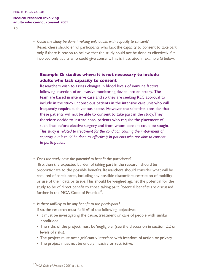**25**

• *Could the study be done involving only adults with capacity to consent?* Researchers should enrol participants who lack the capacity to consent to take part only if there is reason to believe that the study could not be done as effectively if it involved only adults who could give consent.This is illustrated in Example G below.

# **Example G: studies where it is not necessary to include adults who lack capacity to consent**

Researchers wish to assess changes in blood levels of immune factors following insertion of an invasive monitoring device into an artery. The team are based in intensive care and so they are seeking REC approval to include in the study unconscious patients in the intensive care unit who will frequently require such venous access. However, the scientists consider that these patients will not be able to consent to take part in the study.They therefore decide to instead enrol patients who require the placement of such lines before elective surgery and from whom consent could be sought. *This study is related to treatment for the condition causing the impairment of capacity, but it could be done as effectively in patients who are able to consent to participation.*

- *Does the study have the potential to benefit the participant?*  Ifso, then the expected burden of taking part in the research should be proportionate to the possible benefits. Researchers should consider what will be required of participants, including any possible discomfort, restriction of mobility or use of their data or tissue.This should be weighed against the potential for the study to be of direct benefit to those taking part. Potential benefits are discussed further in the MCA Code of Practice*<sup>37</sup>*.
- *Is there unlikely to be any benefit to the participant?*

If so, the research must fulfil *all* of the following objectives:

- It must be investigating the cause, treatment or care of people with similar conditions.
- The risks of the project must be 'negligible' (see the discussion in section 2.2 on levels of risks).
- The project must not significantly interfere with freedom of action or privacy.
- The project must not be unduly invasive or restrictive.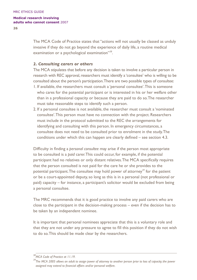**26**

The MCA Code of Practice states that "actions will not usually be classed as unduly invasive if they do not go beyond the experience of daily life, a routine medical examination or a psychological examination"*<sup>38</sup>*.

## *2. Consulting carers or others*

The MCA stipulates that before any decision is taken to involve a particular person in research with REC approval, researchers must identify a 'consultee' who is willing to be consulted about the person's participation.There are two possible types of consultee:

- 1. If available, the researchers must consult a 'personal consultee'.This is someone who cares for the potential participant or is interested in his or her welfare other than in a professional capacity or because they are paid to do so.The researcher must take reasonable steps to identify such a person.
- 2. If a personal consultee is not available, the researcher must consult a 'nominated consultee'.This person must have no connection with the project. Researchers must include in the protocol submitted to the REC the arrangements for identifying and consulting with this person. In emergency circumstances, a consultee does not need to be consulted prior to enrolment in the study.The conditions under which this can happen are clearly defined – see section 4.3.

Difficulty in finding a *personal consultee* may arise if the person most appropriate to be consulted is a *paid* carer.This could occur, for example, if the potential participant had no relatives or only distant relatives.The MCA specifically requires that the person consulted is not paid for the care he or she provides to the potential participant.The consultee may hold power of attorney*<sup>39</sup>* for the patient or be a court-appointed deputy,so long as this is in a personal (not professional or paid) capacity – for instance, a participant's solicitor would be excluded from being a personal consultee.

The MRC recommends that it is good practice to involve any paid carers who are close to the participant in the decision-making process – even if the decision has to be taken by an independent nominee.

It is important that personal nominees appreciate that this is a voluntary role and that they are not under any pressure to agree to fill this position if they do not wish to do so.This should be made clear by the researchers.

<sup>&</sup>lt;sup>38</sup>MCA Code of Practice at 11.19.<br><sup>39</sup>The MCA 2005 allows an adult to assign power of attorney to another person prior to loss of capacity; the power *assigned may extend to financial affairs and/or personal welfare.*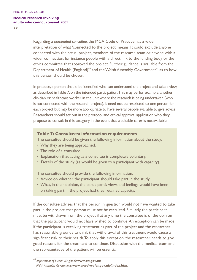**27**

Regarding a *nominated consultee*, the MCA Code of Practice has a wide interpretation of what 'connected to the project' means. It could exclude anyone connected with the actual project, members of the research team or anyone with a wider connection, for instance people with a direct link to the funding body or the ethics committee that approved the project. Further guidance is available from the Department of Health (England)*<sup>40</sup>* and theWelsh Assembly Government*<sup>41</sup>* as to how this person should be chosen.

In practice, a person should be identified who can understand the project and take a view, as described inTable 7,on the intended participation.This may be, for example, another clinician or healthcare worker in the unit where the research is being undertaken (who is not connected with the research project). It need not be restricted to one person for each project but may be more appropriate to have several people available to give advice. Researchers should set out in the protocol and ethical approval application who they propose to consult in this category in the event that a suitable carer is not available.

#### **Table 7: Consultees: information requirements**

The consultee should be given the following information about the study:

- Why they are being approached.
- The role of a consultee.
- Explanation that acting as a consultee is completely voluntary.
- Details of the study (as would be given to a participant with capacity).

The consultee should provide the following information:

- Advice on whether the participant should take part in the study.
- What, in their opinion, the participant's views and feelings would have been on taking part in the project had they retained capacity.

If the consultee advises that the person in question would not have wanted to take part in the project, that person must not be recruited. Similarly, the participant must be withdrawn from the project if at any time the consultee is of the opinion that the participant would not have wished to continue.An exception can be made if the participant is receiving treatment as part of the project and the researcher has reasonable grounds to think that withdrawal of this treatment would cause a significant risk to their health.To apply this exception, the researcher needs to give good reasons for the treatment to continue. Discussion with the medical team and the representative of the patient will be essential.

*<sup>40</sup>Department of Health (England): www.dh.gov.uk. 41Welsh Assembly Government: www.word-wales.gov.uk/index.htm.*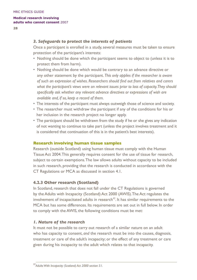**28**

## *3. Safeguards to protect the interests of patients*

Once a participant is enrolled in a study, several measures must be taken to ensure protection of the participant's interests:

- Nothing should be done which the participant seems to object to (unless it is to protect them from harm).
- Nothing should be done which would be contrary to an advance directive or any other statement by the participant. *This only applies if the researcher is aware of such an expression of wishes. Researchers should find out from relatives and carers what the participant's views were on relevant issues prior to loss of capacity. They should specifically ask whether any relevant advance directives or expressions of wish are available and, if so, keep a record of them.*
- The interests of the participant must always outweigh those of science and society.
- The researcher must withdraw the participant if any of the conditions for his or her inclusion in the research project no longer apply.
- The participant should be withdrawn from the study if he or she gives any indication of not wanting to continue to take part (unless the project involves treatment and it is considered that continuation of this is in the patient's best interests).

## **Research involving human tissue samples**

Research (outside Scotland) using human tissue must comply with the Human Tissue Act 2004.This generally requires consent for the use of tissue for research, subject to certain exemptions.The law allows adults without capacity to be included in such research, providing that the research is conducted in accordance with the CT Regulations or MCA as discussed in section 4.1.

## **4.2.3 Other research (Scotland)**

In Scotland, research that does not fall under the CT Regulations is governed by the Adults with Incapacity (Scotland) Act 2000 (AWIS).The Act regulates the involvement of incapacitated adults in research*<sup>42</sup>*. It has similar requirements to the MCA but has some differences. Its requirements are set out in full below. In order to comply with the AWIS, the following conditions must be met:

## *1. Nature of the research*

It must not be possible to carry out research of a similar nature on an adult who has capacity to consent, *and* the research must be into the causes, diagnosis, treatment or care of the adult's incapacity; or the effect of any treatment or care given during his incapacity to the adult which relates to that incapacity.

*<sup>42</sup>Adults With Incapacity (Scotland) Act 2000 section 51.*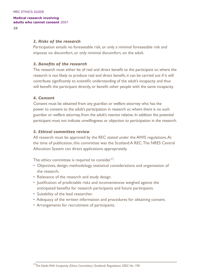**29**

## *2. Risks of the research*

Participation entails no foreseeable risk, or only a minimal foreseeable risk and imposes no discomfort, or only minimal discomfort, on the adult.

#### *3. Benefits of the research*

The research must either be of real and direct benefit to the participant or, where the research is not likely to produce real and direct benefit, it can be carried out if it will contribute significantly to scientific understanding of the adult's incapacity and thus will benefit the participant directly, or benefit other people with the same incapacity.

#### *4. Consent*

Consent must be obtained from any guardian or welfare attorney who has the power to consent to the adult's participation in research or, where there is no such guardian or welfare attorney, from the adult's nearest relative. In addition the potential participant must not indicate unwillingness or objection to participation in the research.

#### *5. Ethical committee review*

All research must be approved by the REC stated under the AWIS regulations.At the time of publication, this committee was the Scotland A REC.The NRES Central Allocation System can direct applications appropriately.

The ethics committee is required to consider*<sup>43</sup>*:

- Objectives, design, methodology, statistical considerations and organisation of the research.
- Relevance of the research and study design.
- Justification of predictable risks and inconveniences weighed against the anticipated benefits for research participants and future participants.
- Suitability of the lead researcher.
- Adequacy of the written information and procedures for obtaining consent.
- Arrangements for recruitment of participants.

*<sup>43</sup>The Adults With Incapacity (Ethics Committee) (Scotland) Regulations 2002 No. 190.*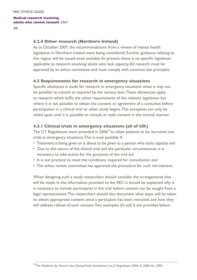## **4.2.4 Other research (Northern Ireland)**

As at October 2007, the recommendations from a review of mental health legislation in Northern Ireland were being considered. Further guidance relating to this region will be issued once available.At present, there is no specific legislation applicable to research involving adults who lack capacity.All research must be approved by an ethics committee and must comply with common law principles.

## **4.3 Requirements for research in emergency situations**

Specific allowance is made for research in emergency situations when it may not be possible to consult as required by the various laws.These allowances apply to research which fulfils the other requirements of the relevant legislation but where it is not possible to obtain the consent or agreement of a consultee before participation in a clinical trial or other study begins.This exception can only be relied upon until it is possible to consult or seek consent in the normal manner.

## **4.3.1 Clinical trials in emergency situations (all of UK)**

The CT Regulations were amended in 2006*<sup>44</sup>*to allow patients to be recruited into trials in emergency situations.This is now possible if:

- Treatment is being given or is about to be given to a person who lacks capacity *and*
- Due to the nature of the clinical trial and the particular circumstances, it is necessary to take action for the purposes of the trial *but*
- It is not practical to meet the conditions required for consultation *and*
- The ethics review committee has approved the procedure for such recruitment.

When designing such a study researchers should consider the arrangements that will be made. In the information provided to the REC it should be explained why it is necessary to include participants in the trial before consent can be sought from a legal representative.The researchers should also document what steps will be taken to obtain appropriate consent once a participant has been recruited and how they will address refusal of such consent.Two examples (H and I) are provided below.

*<sup>44</sup>The Medicines for Human Use (Clinical Trials) Amendment (no.2) Regulations 2006. SI 2006 No. 2984.*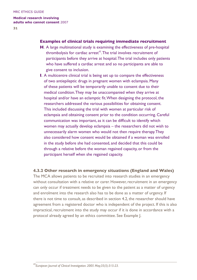**31**

### **Examples of clinical trials requiring immediate recruitment**

- **H**. A large multinational study is examining the effectiveness of pre-hospital thrombolysis for cardiac arrest*<sup>45</sup>*.The trial involves recruitment of participants before they arrive at hospital.The trial includes only patients who have suffered a cardiac arrest and so no participants are able to give consent to inclusion.
- **I**. A multicentre clinical trial is being set up to compare the effectiveness of two antiepileptic drugs in pregnant women with eclampsia. Many of these patients will be temporarily unable to consent due to their medical condition.They may be unaccompanied when they arrive at hospital and/or have an eclamptic fit.When designing the protocol, the researchers addressed the various possibilities for obtaining consent. This included discussing the trial with women at particular risk of eclampsia and obtaining consent prior to the condition occurring. Careful communication was important, as it can be difficult to identify which women may actually develop eclampsia – the researchers did not wish to unnecessarily alarm women who would not then require therapy.They also considered how consent would be obtained if a woman was enrolled in the study before she had consented, and decided that this could be through a relative before the woman regained capacity, or from the participant herself when she regained capacity.

## **4.3.2 Other research in emergency situations (England and Wales)**

The MCA allows patients to be recruited into research studies in an emergency without consultation with a relative or carer. However, recruitment in an emergency can only occur if treatment needs to be given to the patient as a matter of urgency and enrolment into the research also has to be done as a matter of urgency. If there is not time to consult, as described in section 4.2, the researcher should have agreement from a registered doctor who is independent of the project. If this is also impractical, recruitment into the study may occur if it is done in accordance with a protocol already agreed by an ethics committee. See Example J.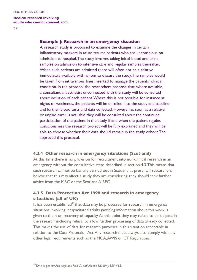**32**

#### **Example J: Research in an emergency situation**

A research study is proposed to examine the changes in certain inflammatory markers in acute trauma patients who are unconscious on admission to hospital.The study involves taking initial blood and urine samples on admission to intensive care and regular samples thereafter. When such patients are admitted there will often not be a relative immediately available with whom to discuss the study.The samples would be taken from intravenous lines inserted to manage the patients' clinical condition. In the protocol the researchers propose that, where available, a consultant anaesthetist unconnected with the study will be consulted about inclusion of each patient.Where this is not possible, for instance at nights or weekends, the patients will be enrolled into the study and baseline and further blood tests and data collected. However, as soon as a relative or unpaid carer is available they will be consulted about the continued participation of the patient in the study. If and when the patient regains consciousness the research project will be fully explained and they will be able to choose whether their data should remain in the study cohort.The approved this protocol.

## **4.3.4 Other research in emergency situations (Scotland)**

At this time there is no provision for recruitment into non-clinical research in an emergency without the consultative steps described in section 4.3.This means that such research cannot be lawfully carried out in Scotland at present. If researchers believe that this may affect a study they are considering, they should seek further advice from the MRC or the Scotland A REC.

# **4.3.5 Data Protection Act 1998 and research in emergency situations (all of UK)**

It has been established*<sup>46</sup>*that data may be processed for research in emergency situations involving incapacitated adults *providing* information about this work is given to them on recovery of capacity.At this point they may refuse to participate in the research, including refusal to allow further processing of data already collected. This makes the use of data for research purposes in this situation acceptable in relation to the Data Protection Act.Any research must always also comply with any other legal requirements such as the MCA,AWIS or CT Regulations.

*<sup>46</sup>Time to get our Acts together. Reid CL and Menon DK. BMJ: 355; 415.*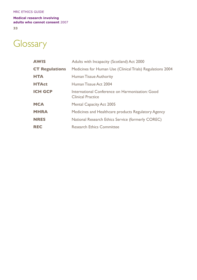## MRC ETHICS GUIDE

### **Medical research involving adults who cannot consent** 2007

**33**

# Glossary

| <b>AWIS</b>           | Adults with Incapacity (Scotland) Act 2000                                  |
|-----------------------|-----------------------------------------------------------------------------|
| <b>CT Regulations</b> | Medicines for Human Use (Clinical Trials) Regulations 2004                  |
| <b>HTA</b>            | Human Tissue Authority                                                      |
| <b>HTAct</b>          | Human Tissue Act 2004                                                       |
| <b>ICH GCP</b>        | International Conference on Harmonisation: Good<br><b>Clinical Practice</b> |
| <b>MCA</b>            | <b>Mental Capacity Act 2005</b>                                             |
| <b>MHRA</b>           | Medicines and Healthcare products Regulatory Agency                         |
| <b>NRES</b>           | National Research Ethics Service (formerly COREC)                           |
| <b>REC</b>            | <b>Research Ethics Committee</b>                                            |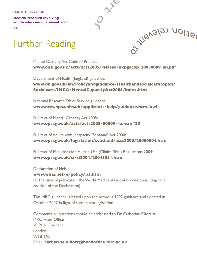MRC ETHICS GUIDE

**Medical research involving adults who cannot consent** 2007

**34**

# Further Reading

Mental Capacity Act Code of Practice: **www.opsi.gov.uk/acts/acts2005/related/ukpgacop\_20050009\_en.pdf** 

**O** zie

Ozzylenalaz uoije

Department of Health (England) guidance: **www.dh.gov.uk/en/Policyandguidance/Healthandsocialcaretopics/ Socialcare/IMCA/MentalCapacityAct2005/index.htm**

National Research Ethics Service guidance: **www.nres.npsa.nhs.uk/applicants/help/guidance.htm#awi**

Full text of Mental Capacity Act 2005: **www.opsi.gov.uk/acts/acts2005/50009--b.htm#30**

Full text of Adults with Incapacity (Scotland) Act 2000: **www.opsi.gov.uk/legislation/scotland/acts2000/20000004.htm**

Full text of Medicines for Human Use (Clinical Trial) Regulations 2004: **www.opsi.gov.uk/si/si2004/20041031.htm**

Declaration of Helsinki: **www.wma.net/e/policy/b3.htm**  (at the time of publication theWorld Medical Association was consulting on a revision of the Declaration)

This MRC guidance is based upon the previous 1992 guidance and updated in October 2007 in light of subsequent legislation.

Comments or questions should be addressed to Dr Catherine Elliott at: MRC Head Office 20 Park Crescent London W1B 1AL Email: **catherine.elliott@headoffice.mrc.ac.uk**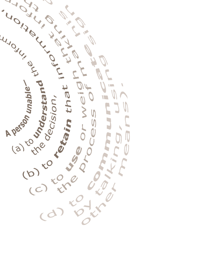